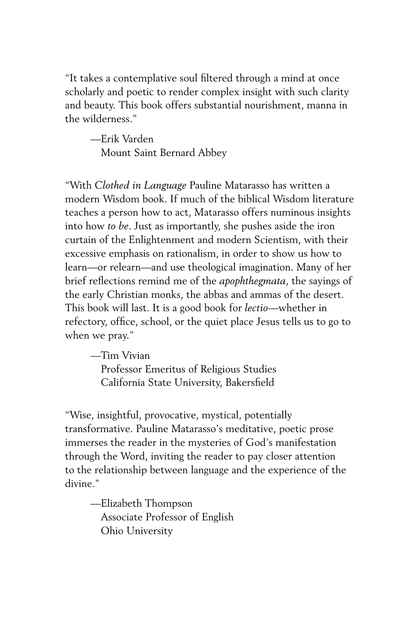"It takes a contemplative soul filtered through a mind at once scholarly and poetic to render complex insight with such clarity and beauty. This book offers substantial nourishment, manna in the wilderness."

—Erik Varden Mount Saint Bernard Abbey

"With *Clothed in Language* Pauline Matarasso has written a modern Wisdom book. If much of the biblical Wisdom literature teaches a person how to act, Matarasso offers numinous insights into how *to be*. Just as importantly, she pushes aside the iron curtain of the Enlightenment and modern Scientism, with their excessive emphasis on rationalism, in order to show us how to learn—or relearn—and use theological imagination. Many of her brief reflections remind me of the *apophthegmata*, the sayings of the early Christian monks, the abbas and ammas of the desert. This book will last. It is a good book for *lectio*—whether in refectory, office, school, or the quiet place Jesus tells us to go to when we pray."

—Tim Vivian Professor Emeritus of Religious Studies California State University, Bakersfield

"Wise, insightful, provocative, mystical, potentially transformative. Pauline Matarasso's meditative, poetic prose immerses the reader in the mysteries of God's manifestation through the Word, inviting the reader to pay closer attention to the relationship between language and the experience of the divine."

—Elizabeth Thompson Associate Professor of English Ohio University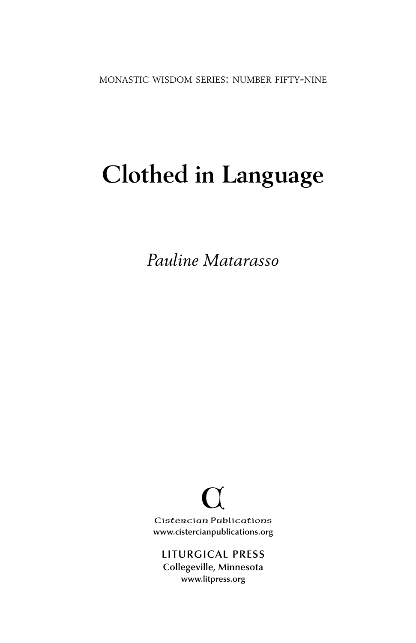monastic wisdom series: number fifty-nine

# **Clothed in Language**

*Pauline Matarasso*

Cistercian Publications **www.cistercianpublications.org**

**LITURGICAL PRESS Collegeville, Minnesota www.litpress.org**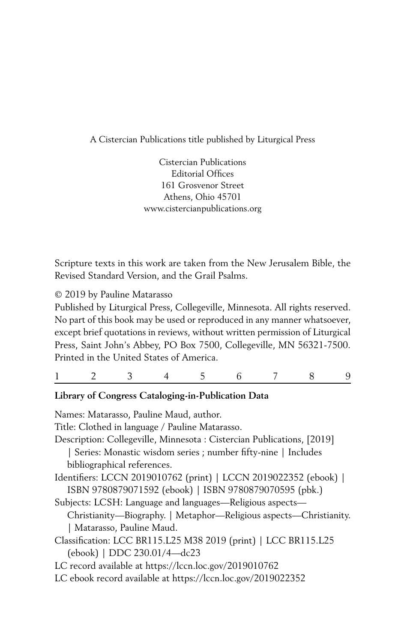A Cistercian Publications title published by Liturgical Press

Cistercian Publications Editorial Offices 161 Grosvenor Street Athens, Ohio 45701 www.cistercianpublications.org

Scripture texts in this work are taken from the New Jerusalem Bible, the Revised Standard Version, and the Grail Psalms.

© 2019 by Pauline Matarasso

Published by Liturgical Press, Collegeville, Minnesota. All rights reserved. No part of this book may be used or reproduced in any manner whatsoever, except brief quotations in reviews, without written permission of Liturgical Press, Saint John's Abbey, PO Box 7500, Collegeville, MN 56321-7500. Printed in the United States of America.

|--|--|--|--|--|--|--|--|--|--|

#### **Library of Congress Cataloging-in-Publication Data**

Names: Matarasso, Pauline Maud, author. Title: Clothed in language / Pauline Matarasso. Description: Collegeville, Minnesota : Cistercian Publications, [2019] | Series: Monastic wisdom series ; number fifty-nine | Includes bibliographical references. Identifiers: LCCN 2019010762 (print) | LCCN 2019022352 (ebook) | ISBN 9780879071592 (ebook) | ISBN 9780879070595 (pbk.) Subjects: LCSH: Language and languages—Religious aspects— Christianity—Biography. | Metaphor—Religious aspects—Christianity. | Matarasso, Pauline Maud. Classification: LCC BR115.L25 M38 2019 (print) | LCC BR115.L25 (ebook) | DDC 230.01/4—dc23 LC record available at https://lccn.loc.gov/2019010762 LC ebook record available at https://lccn.loc.gov/2019022352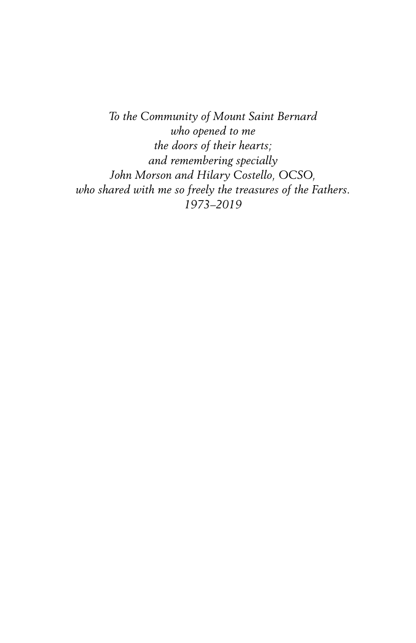*To the Community of Mount Saint Bernard who opened to me the doors of their hearts; and remembering specially John Morson and Hilary Costello, OCSO, who shared with me so freely the treasures of the Fathers. 1973–2019*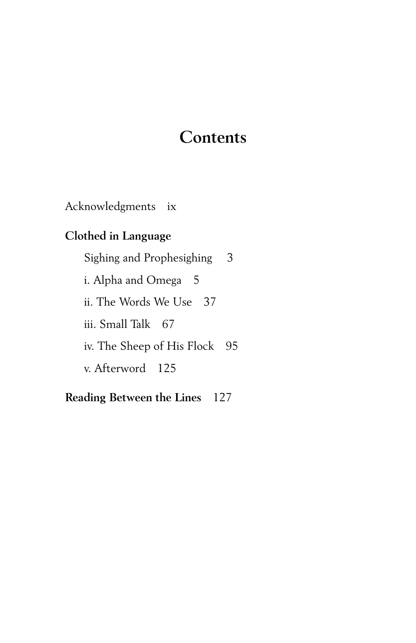# **Contents**

Acknowledgments ix

## **Clothed in Language**

Sighing and Prophesighing 3 i. Alpha and Omega 5 ii. The Words We Use 37 iii. Small Talk 67 iv. The Sheep of His Flock 95 v. Afterword 125

### **Reading Between the Lines** 127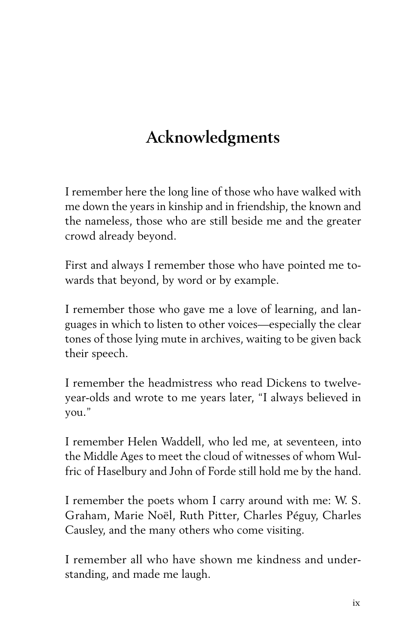# **Acknowledgments**

I remember here the long line of those who have walked with me down the years in kinship and in friendship, the known and the nameless, those who are still beside me and the greater crowd already beyond.

First and always I remember those who have pointed me towards that beyond, by word or by example.

I remember those who gave me a love of learning, and languages in which to listen to other voices—especially the clear tones of those lying mute in archives, waiting to be given back their speech.

I remember the headmistress who read Dickens to twelveyear-olds and wrote to me years later, "I always believed in you."

I remember Helen Waddell, who led me, at seventeen, into the Middle Ages to meet the cloud of witnesses of whom Wulfric of Haselbury and John of Forde still hold me by the hand.

I remember the poets whom I carry around with me: W. S. Graham, Marie Noël, Ruth Pitter, Charles Péguy, Charles Causley, and the many others who come visiting.

I remember all who have shown me kindness and understanding, and made me laugh.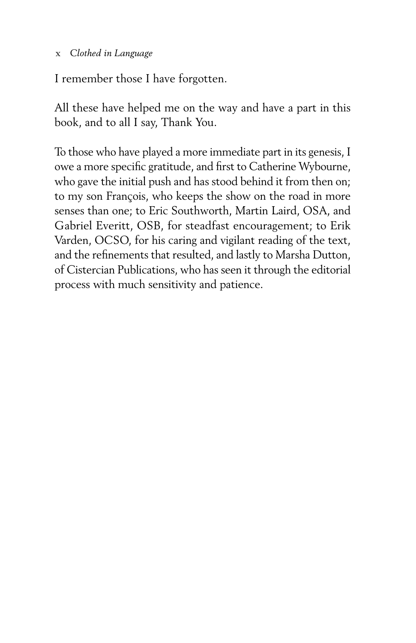#### x *Clothed in Language*

I remember those I have forgotten.

All these have helped me on the way and have a part in this book, and to all I say, Thank You.

To those who have played a more immediate part in its genesis, I owe a more specific gratitude, and first to Catherine Wybourne, who gave the initial push and has stood behind it from then on; to my son François, who keeps the show on the road in more senses than one; to Eric Southworth, Martin Laird, OSA, and Gabriel Everitt, OSB, for steadfast encouragement; to Erik Varden, OCSO, for his caring and vigilant reading of the text, and the refinements that resulted, and lastly to Marsha Dutton, of Cistercian Publications, who has seen it through the editorial process with much sensitivity and patience.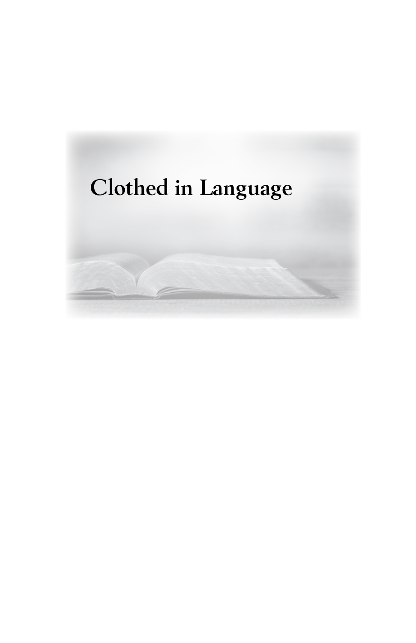# **Clothed in Language**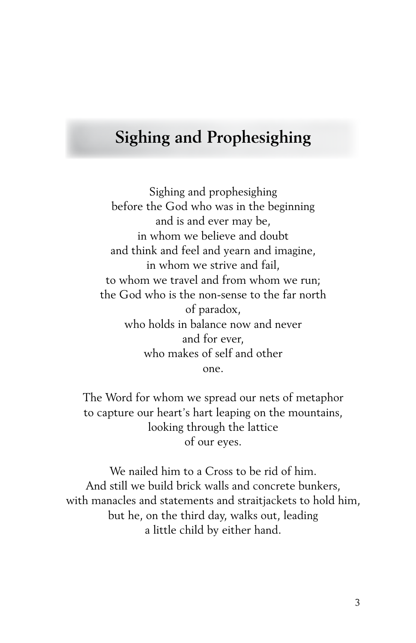# **Sighing and Prophesighing**

Sighing and prophesighing before the God who was in the beginning and is and ever may be, in whom we believe and doubt and think and feel and yearn and imagine, in whom we strive and fail, to whom we travel and from whom we run; the God who is the non-sense to the far north of paradox, who holds in balance now and never and for ever, who makes of self and other one.

The Word for whom we spread our nets of metaphor to capture our heart's hart leaping on the mountains, looking through the lattice of our eyes.

We nailed him to a Cross to be rid of him. And still we build brick walls and concrete bunkers, with manacles and statements and straitjackets to hold him, but he, on the third day, walks out, leading a little child by either hand.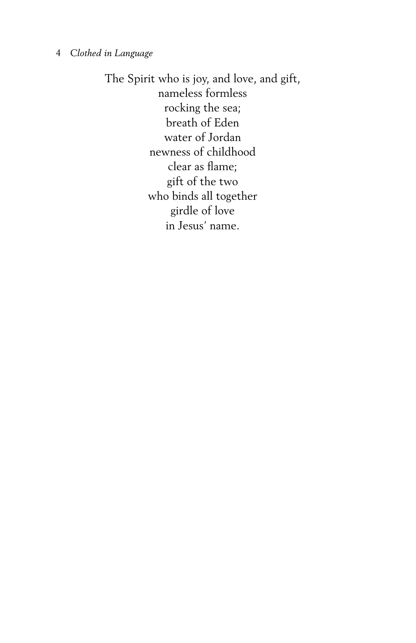#### 4 *Clothed in Language*

The Spirit who is joy, and love, and gift, nameless formless rocking the sea; breath of Eden water of Jordan newness of childhood clear as flame; gift of the two who binds all together girdle of love in Jesus' name.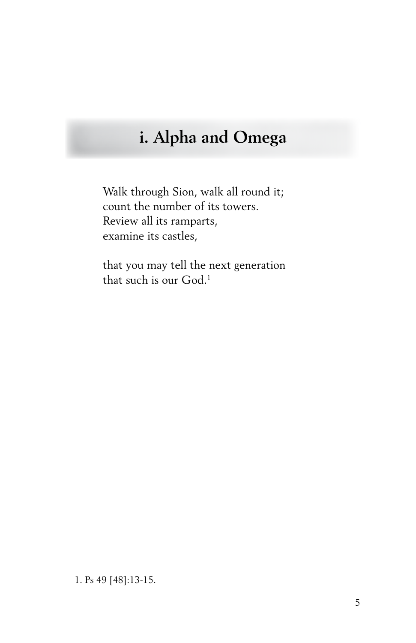# **i. Alpha and Omega**

Walk through Sion, walk all round it; count the number of its towers. Review all its ramparts, examine its castles,

that you may tell the next generation that such is our God.<sup>1</sup>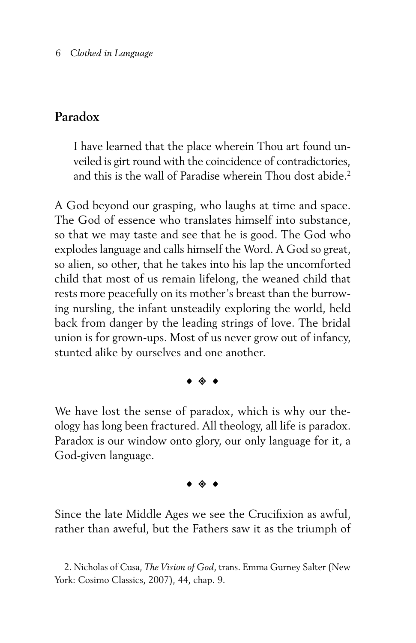### **Paradox**

I have learned that the place wherein Thou art found unveiled is girt round with the coincidence of contradictories, and this is the wall of Paradise wherein Thou dost abide.<sup>2</sup>

A God beyond our grasping, who laughs at time and space. The God of essence who translates himself into substance, so that we may taste and see that he is good. The God who explodes language and calls himself the Word. A God so great, so alien, so other, that he takes into his lap the uncomforted child that most of us remain lifelong, the weaned child that rests more peacefully on its mother's breast than the burrowing nursling, the infant unsteadily exploring the world, held back from danger by the leading strings of love. The bridal union is for grown-ups. Most of us never grow out of infancy, stunted alike by ourselves and one another.

#### $\bullet$   $\bullet$   $\bullet$

We have lost the sense of paradox, which is why our theology has long been fractured. All theology, all life is paradox. Paradox is our window onto glory, our only language for it, a God-given language.

 $\bullet$   $\bullet$   $\bullet$ 

Since the late Middle Ages we see the Crucifixion as awful, rather than aweful, but the Fathers saw it as the triumph of

<sup>2.</sup> Nicholas of Cusa, *The Vision of God*, trans. Emma Gurney Salter (New York: Cosimo Classics, 2007), 44, chap. 9.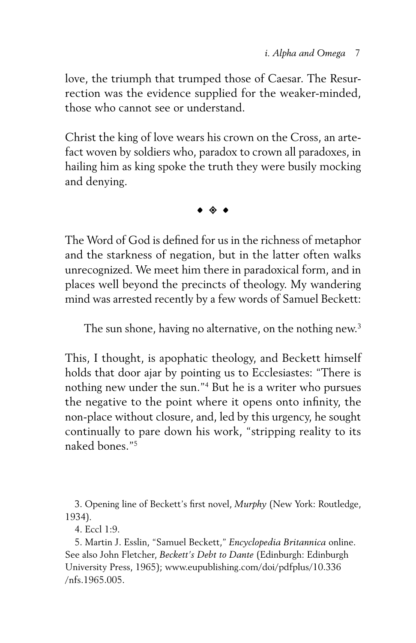love, the triumph that trumped those of Caesar. The Resurrection was the evidence supplied for the weaker-minded, those who cannot see or understand.

Christ the king of love wears his crown on the Cross, an artefact woven by soldiers who, paradox to crown all paradoxes, in hailing him as king spoke the truth they were busily mocking and denying.

 $\bullet$   $\bullet$   $\bullet$ 

The Word of God is defined for us in the richness of metaphor and the starkness of negation, but in the latter often walks unrecognized. We meet him there in paradoxical form, and in places well beyond the precincts of theology. My wandering mind was arrested recently by a few words of Samuel Beckett:

The sun shone, having no alternative, on the nothing new.<sup>3</sup>

This, I thought, is apophatic theology, and Beckett himself holds that door ajar by pointing us to Ecclesiastes: "There is nothing new under the sun."4 But he is a writer who pursues the negative to the point where it opens onto infinity, the non-place without closure, and, led by this urgency, he sought continually to pare down his work, "stripping reality to its naked bones<sup>"5</sup>

3. Opening line of Beckett's first novel, *Murphy* (New York: Routledge, 1934)*.*

4. Eccl 1:9.

5. Martin J. Esslin, "Samuel Beckett," *Encyclopedia Britannica* online. See also John Fletcher, *Beckett's Debt to Dante* (Edinburgh: Edinburgh University Press, 1965); www.eupublishing.com/doi/pdfplus/10.336 /nfs.1965.005.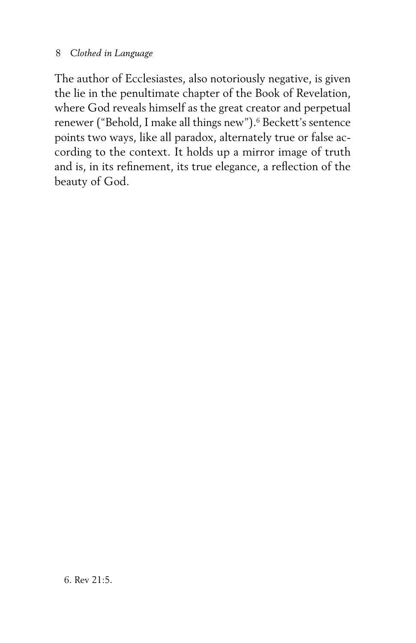#### 8 *Clothed in Language*

The author of Ecclesiastes, also notoriously negative, is given the lie in the penultimate chapter of the Book of Revelation, where God reveals himself as the great creator and perpetual renewer ("Behold, I make all things new").<sup>6</sup> Beckett's sentence points two ways, like all paradox, alternately true or false according to the context. It holds up a mirror image of truth and is, in its refinement, its true elegance, a reflection of the beauty of God.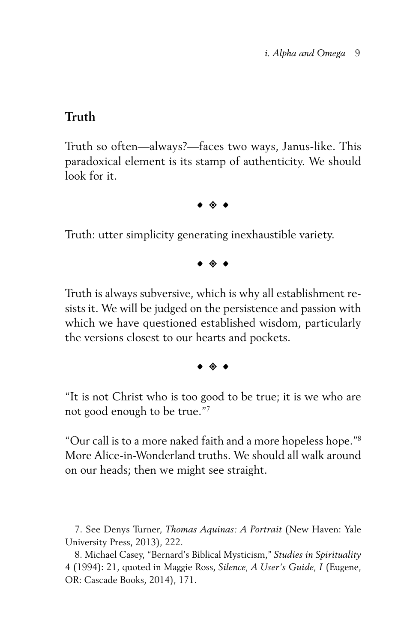#### **Truth**

Truth so often—always?—faces two ways, Janus-like. This paradoxical element is its stamp of authenticity. We should look for it.

 $\bullet$   $\bullet$   $\bullet$ 

Truth: utter simplicity generating inexhaustible variety.

 $\bullet$   $\bullet$   $\bullet$ 

Truth is always subversive, which is why all establishment resists it. We will be judged on the persistence and passion with which we have questioned established wisdom, particularly the versions closest to our hearts and pockets.

 $\bullet$   $\bullet$   $\bullet$ 

"It is not Christ who is too good to be true; it is we who are not good enough to be true."7

"Our call is to a more naked faith and a more hopeless hope."8 More Alice-in-Wonderland truths. We should all walk around on our heads; then we might see straight.

7. See Denys Turner, *Thomas Aquinas: A Portrait* (New Haven: Yale University Press, 2013), 222.

8. Michael Casey, "Bernard's Biblical Mysticism," *Studies in Spirituality* 4 (1994): 21, quoted in Maggie Ross, *Silence, A User's Guide, I* (Eugene, OR: Cascade Books, 2014), 171.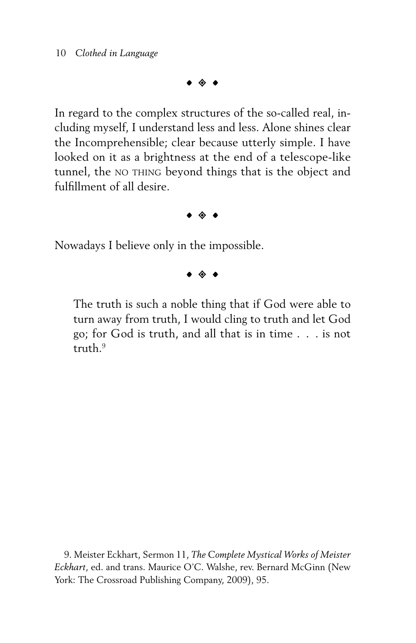$\bullet$   $\; \diamond$   $\; \bullet$ 

In regard to the complex structures of the so-called real, including myself, I understand less and less. Alone shines clear the Incomprehensible; clear because utterly simple. I have looked on it as a brightness at the end of a telescope-like tunnel, the NO THING beyond things that is the object and fulfillment of all desire.

 $\bullet$   $\; \diamond$   $\; \bullet$ 

Nowadays I believe only in the impossible.

 $\bullet$   $\bullet$   $\bullet$ 

The truth is such a noble thing that if God were able to turn away from truth, I would cling to truth and let God go; for God is truth, and all that is in time . . . is not truth.<sup>9</sup>

9. Meister Eckhart, Sermon 11, *The Complete Mystical Works of Meister Eckhart*, ed. and trans. Maurice O'C. Walshe, rev. Bernard McGinn (New York: The Crossroad Publishing Company, 2009), 95.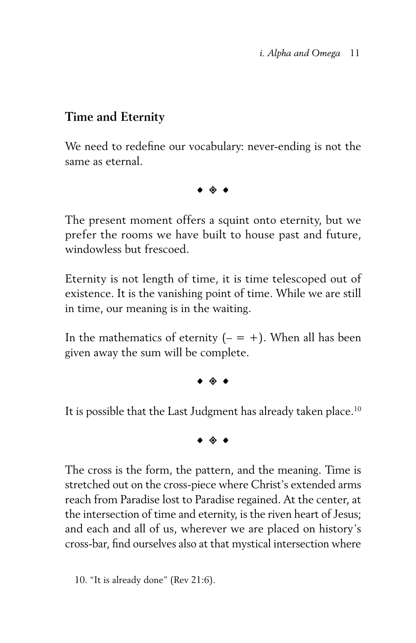## **Time and Eternity**

We need to redefine our vocabulary: never-ending is not the same as eternal.

 $\bullet$   $\bullet$   $\bullet$ 

The present moment offers a squint onto eternity, but we prefer the rooms we have built to house past and future, windowless but frescoed.

Eternity is not length of time, it is time telescoped out of existence. It is the vanishing point of time. While we are still in time, our meaning is in the waiting.

In the mathematics of eternity  $($  –  $=$  +). When all has been given away the sum will be complete.

 $\bullet$   $\bullet$   $\bullet$ 

It is possible that the Last Judgment has already taken place.<sup>10</sup>

 $\bullet$   $\bullet$   $\bullet$ 

The cross is the form, the pattern, and the meaning. Time is stretched out on the cross-piece where Christ's extended arms reach from Paradise lost to Paradise regained. At the center, at the intersection of time and eternity, is the riven heart of Jesus; and each and all of us, wherever we are placed on history's cross-bar, find ourselves also at that mystical intersection where

10. "It is already done" (Rev 21:6).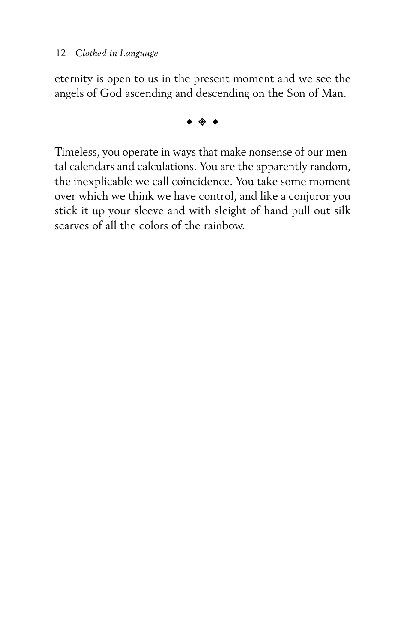eternity is open to us in the present moment and we see the angels of God ascending and descending on the Son of Man.

 $\bullet$   $\bullet$   $\bullet$ 

Timeless, you operate in ways that make nonsense of our mental calendars and calculations. You are the apparently random, the inexplicable we call coincidence. You take some moment over which we think we have control, and like a conjuror you stick it up your sleeve and with sleight of hand pull out silk scarves of all the colors of the rainbow.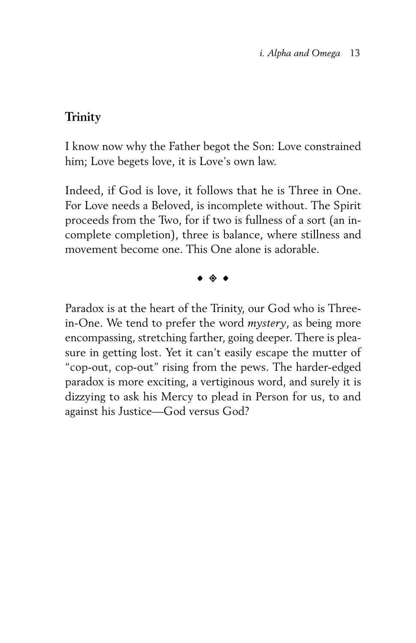### **Trinity**

I know now why the Father begot the Son: Love constrained him; Love begets love, it is Love's own law.

Indeed, if God is love, it follows that he is Three in One. For Love needs a Beloved, is incomplete without. The Spirit proceeds from the Two, for if two is fullness of a sort (an incomplete completion), three is balance, where stillness and movement become one. This One alone is adorable.

 $\bullet$   $\bullet$   $\bullet$ 

Paradox is at the heart of the Trinity, our God who is Threein-One. We tend to prefer the word *mystery*, as being more encompassing, stretching farther, going deeper. There is pleasure in getting lost. Yet it can't easily escape the mutter of "cop-out, cop-out" rising from the pews. The harder-edged paradox is more exciting, a vertiginous word, and surely it is dizzying to ask his Mercy to plead in Person for us, to and against his Justice—God versus God?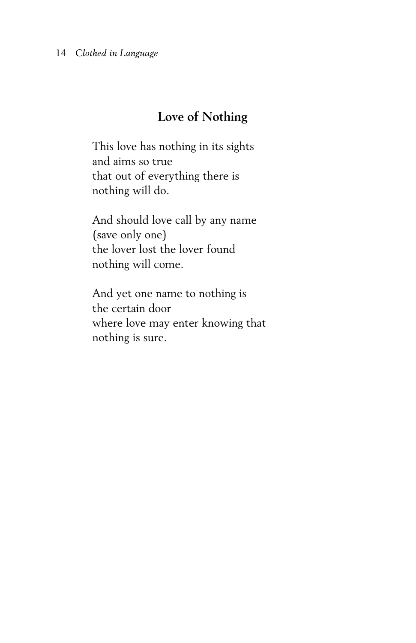## **Love of Nothing**

This love has nothing in its sights and aims so true that out of everything there is nothing will do.

And should love call by any name (save only one) the lover lost the lover found nothing will come.

And yet one name to nothing is the certain door where love may enter knowing that nothing is sure.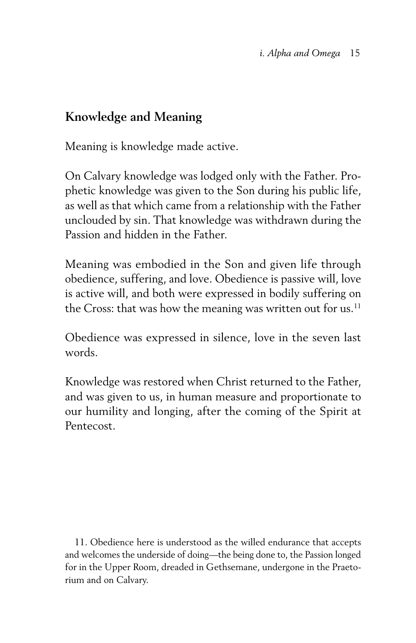## **Knowledge and Meaning**

Meaning is knowledge made active.

On Calvary knowledge was lodged only with the Father. Prophetic knowledge was given to the Son during his public life, as well as that which came from a relationship with the Father unclouded by sin. That knowledge was withdrawn during the Passion and hidden in the Father.

Meaning was embodied in the Son and given life through obedience, suffering, and love. Obedience is passive will, love is active will, and both were expressed in bodily suffering on the Cross: that was how the meaning was written out for us.<sup>11</sup>

Obedience was expressed in silence, love in the seven last words.

Knowledge was restored when Christ returned to the Father, and was given to us, in human measure and proportionate to our humility and longing, after the coming of the Spirit at Pentecost.

11. Obedience here is understood as the willed endurance that accepts and welcomes the underside of doing—the being done to, the Passion longed for in the Upper Room, dreaded in Gethsemane, undergone in the Praetorium and on Calvary.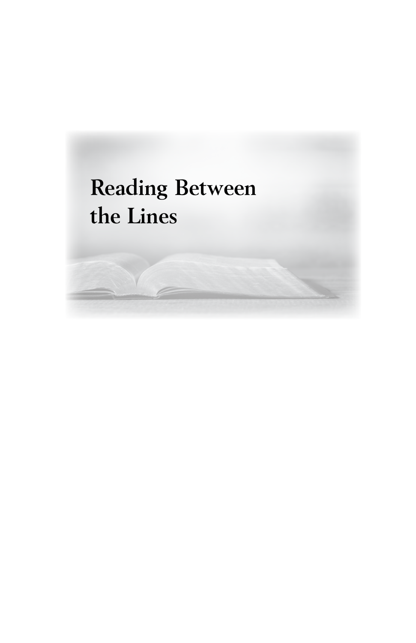# **Reading Between the Lines**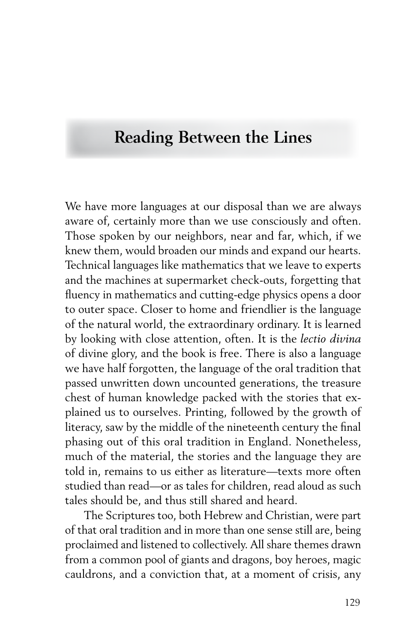# **Reading Between the Lines**

We have more languages at our disposal than we are always aware of, certainly more than we use consciously and often. Those spoken by our neighbors, near and far, which, if we knew them, would broaden our minds and expand our hearts. Technical languages like mathematics that we leave to experts and the machines at supermarket check-outs, forgetting that fluency in mathematics and cutting-edge physics opens a door to outer space. Closer to home and friendlier is the language of the natural world, the extraordinary ordinary. It is learned by looking with close attention, often. It is the *lectio divina* of divine glory, and the book is free. There is also a language we have half forgotten, the language of the oral tradition that passed unwritten down uncounted generations, the treasure chest of human knowledge packed with the stories that explained us to ourselves. Printing, followed by the growth of literacy, saw by the middle of the nineteenth century the final phasing out of this oral tradition in England. Nonetheless, much of the material, the stories and the language they are told in, remains to us either as literature—texts more often studied than read—or as tales for children, read aloud as such tales should be, and thus still shared and heard.

The Scriptures too, both Hebrew and Christian, were part of that oral tradition and in more than one sense still are, being proclaimed and listened to collectively. All share themes drawn from a common pool of giants and dragons, boy heroes, magic cauldrons, and a conviction that, at a moment of crisis, any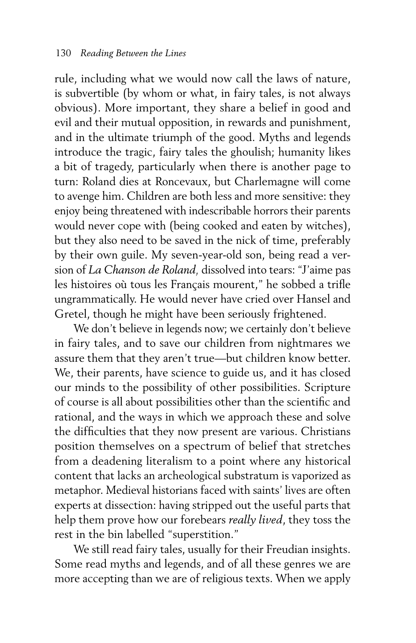rule, including what we would now call the laws of nature, is subvertible (by whom or what, in fairy tales, is not always obvious). More important, they share a belief in good and evil and their mutual opposition, in rewards and punishment, and in the ultimate triumph of the good. Myths and legends introduce the tragic, fairy tales the ghoulish; humanity likes a bit of tragedy, particularly when there is another page to turn: Roland dies at Roncevaux, but Charlemagne will come to avenge him. Children are both less and more sensitive: they enjoy being threatened with indescribable horrors their parents would never cope with (being cooked and eaten by witches), but they also need to be saved in the nick of time, preferably by their own guile. My seven-year-old son, being read a version of *La Chanson de Roland,* dissolved into tears: "J'aime pas les histoires où tous les Français mourent," he sobbed a trifle ungrammatically. He would never have cried over Hansel and Gretel, though he might have been seriously frightened.

We don't believe in legends now; we certainly don't believe in fairy tales, and to save our children from nightmares we assure them that they aren't true—but children know better. We, their parents, have science to guide us, and it has closed our minds to the possibility of other possibilities. Scripture of course is all about possibilities other than the scientific and rational, and the ways in which we approach these and solve the difficulties that they now present are various. Christians position themselves on a spectrum of belief that stretches from a deadening literalism to a point where any historical content that lacks an archeological substratum is vaporized as metaphor. Medieval historians faced with saints' lives are often experts at dissection: having stripped out the useful parts that help them prove how our forebears *really lived*, they toss the rest in the bin labelled "superstition."

We still read fairy tales, usually for their Freudian insights. Some read myths and legends, and of all these genres we are more accepting than we are of religious texts. When we apply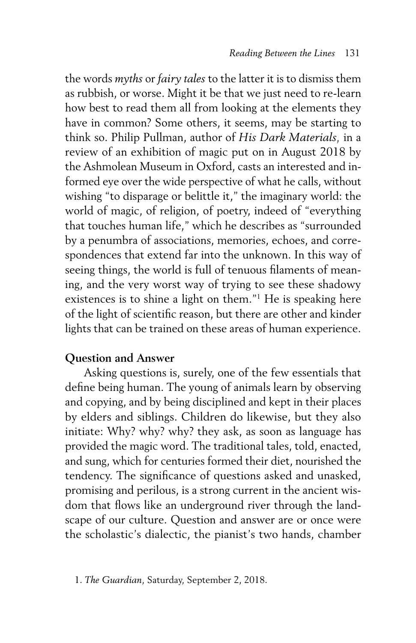the words *myths* or *fairy tales* to the latter it is to dismiss them as rubbish, or worse. Might it be that we just need to re-learn how best to read them all from looking at the elements they have in common? Some others, it seems, may be starting to think so. Philip Pullman, author of *His Dark Materials,* in a review of an exhibition of magic put on in August 2018 by the Ashmolean Museum in Oxford, casts an interested and informed eye over the wide perspective of what he calls, without wishing "to disparage or belittle it," the imaginary world: the world of magic, of religion, of poetry, indeed of "everything that touches human life," which he describes as "surrounded by a penumbra of associations, memories, echoes, and correspondences that extend far into the unknown. In this way of seeing things, the world is full of tenuous filaments of meaning, and the very worst way of trying to see these shadowy existences is to shine a light on them."<sup>1</sup> He is speaking here of the light of scientific reason, but there are other and kinder lights that can be trained on these areas of human experience.

#### **Question and Answer**

Asking questions is, surely, one of the few essentials that define being human. The young of animals learn by observing and copying, and by being disciplined and kept in their places by elders and siblings. Children do likewise, but they also initiate: Why? why? why? they ask, as soon as language has provided the magic word. The traditional tales, told, enacted, and sung, which for centuries formed their diet, nourished the tendency. The significance of questions asked and unasked, promising and perilous, is a strong current in the ancient wisdom that flows like an underground river through the landscape of our culture. Question and answer are or once were the scholastic's dialectic, the pianist's two hands, chamber

<sup>1.</sup> *The Guardian*, Saturday, September 2, 2018.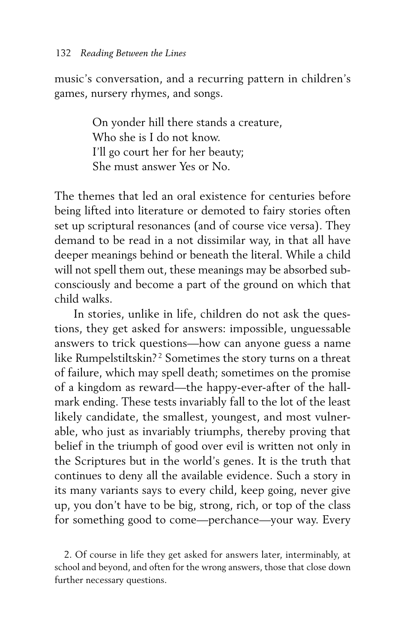music's conversation, and a recurring pattern in children's games, nursery rhymes, and songs.

> On yonder hill there stands a creature, Who she is I do not know. I'll go court her for her beauty; She must answer Yes or No.

The themes that led an oral existence for centuries before being lifted into literature or demoted to fairy stories often set up scriptural resonances (and of course vice versa). They demand to be read in a not dissimilar way, in that all have deeper meanings behind or beneath the literal. While a child will not spell them out, these meanings may be absorbed subconsciously and become a part of the ground on which that child walks.

In stories, unlike in life, children do not ask the questions, they get asked for answers: impossible, unguessable answers to trick questions—how can anyone guess a name like Rumpelstiltskin?<sup>2</sup> Sometimes the story turns on a threat of failure, which may spell death; sometimes on the promise of a kingdom as reward—the happy-ever-after of the hallmark ending. These tests invariably fall to the lot of the least likely candidate, the smallest, youngest, and most vulnerable, who just as invariably triumphs, thereby proving that belief in the triumph of good over evil is written not only in the Scriptures but in the world's genes. It is the truth that continues to deny all the available evidence. Such a story in its many variants says to every child, keep going, never give up, you don't have to be big, strong, rich, or top of the class for something good to come—perchance—your way. Every

2. Of course in life they get asked for answers later, interminably, at school and beyond, and often for the wrong answers, those that close down further necessary questions.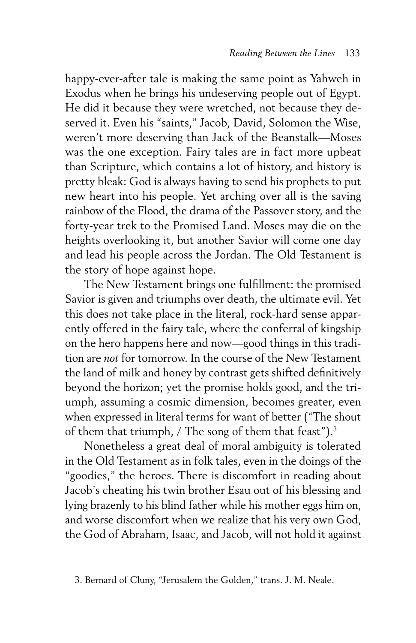happy-ever-after tale is making the same point as Yahweh in Exodus when he brings his undeserving people out of Egypt. He did it because they were wretched, not because they deserved it. Even his "saints," Jacob, David, Solomon the Wise, weren't more deserving than Jack of the Beanstalk—Moses was the one exception. Fairy tales are in fact more upbeat than Scripture, which contains a lot of history, and history is pretty bleak: God is always having to send his prophets to put new heart into his people. Yet arching over all is the saving rainbow of the Flood, the drama of the Passover story, and the forty-year trek to the Promised Land. Moses may die on the heights overlooking it, but another Savior will come one day and lead his people across the Jordan. The Old Testament is the story of hope against hope.

The New Testament brings one fulfillment: the promised Savior is given and triumphs over death, the ultimate evil. Yet this does not take place in the literal, rock-hard sense apparently offered in the fairy tale, where the conferral of kingship on the hero happens here and now—good things in this tradition are *not* for tomorrow. In the course of the New Testament the land of milk and honey by contrast gets shifted definitively beyond the horizon; yet the promise holds good, and the triumph, assuming a cosmic dimension, becomes greater, even when expressed in literal terms for want of better ("The shout of them that triumph, / The song of them that feast").<sup>3</sup>

Nonetheless a great deal of moral ambiguity is tolerated in the Old Testament as in folk tales, even in the doings of the "goodies," the heroes. There is discomfort in reading about Jacob's cheating his twin brother Esau out of his blessing and lying brazenly to his blind father while his mother eggs him on, and worse discomfort when we realize that his very own God, the God of Abraham, Isaac, and Jacob, will not hold it against

<sup>3.</sup> Bernard of Cluny, "Jerusalem the Golden," trans. J. M. Neale.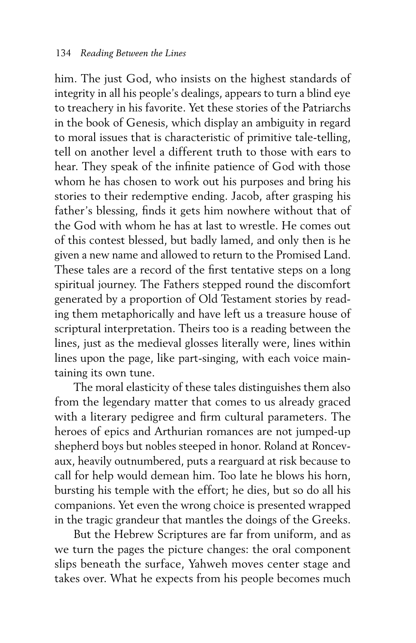him. The just God, who insists on the highest standards of integrity in all his people's dealings, appears to turn a blind eye to treachery in his favorite. Yet these stories of the Patriarchs in the book of Genesis, which display an ambiguity in regard to moral issues that is characteristic of primitive tale-telling, tell on another level a different truth to those with ears to hear. They speak of the infinite patience of God with those whom he has chosen to work out his purposes and bring his stories to their redemptive ending. Jacob, after grasping his father's blessing, finds it gets him nowhere without that of the God with whom he has at last to wrestle. He comes out of this contest blessed, but badly lamed, and only then is he given a new name and allowed to return to the Promised Land. These tales are a record of the first tentative steps on a long spiritual journey. The Fathers stepped round the discomfort generated by a proportion of Old Testament stories by reading them metaphorically and have left us a treasure house of scriptural interpretation. Theirs too is a reading between the lines, just as the medieval glosses literally were, lines within lines upon the page, like part-singing, with each voice maintaining its own tune.

The moral elasticity of these tales distinguishes them also from the legendary matter that comes to us already graced with a literary pedigree and firm cultural parameters. The heroes of epics and Arthurian romances are not jumped-up shepherd boys but nobles steeped in honor. Roland at Roncevaux, heavily outnumbered, puts a rearguard at risk because to call for help would demean him. Too late he blows his horn, bursting his temple with the effort; he dies, but so do all his companions. Yet even the wrong choice is presented wrapped in the tragic grandeur that mantles the doings of the Greeks.

But the Hebrew Scriptures are far from uniform, and as we turn the pages the picture changes: the oral component slips beneath the surface, Yahweh moves center stage and takes over. What he expects from his people becomes much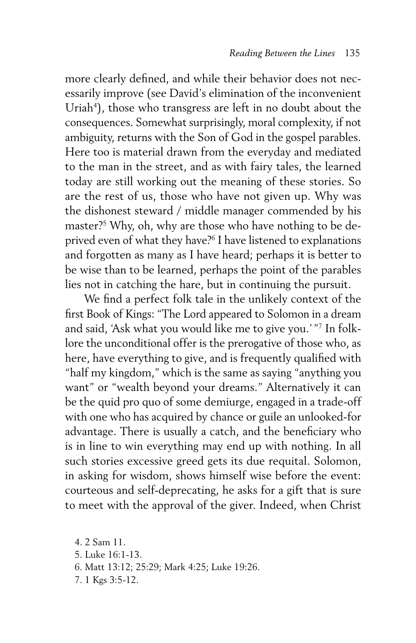more clearly defined, and while their behavior does not necessarily improve (see David's elimination of the inconvenient Uriah<sup>4</sup>), those who transgress are left in no doubt about the consequences. Somewhat surprisingly, moral complexity, if not ambiguity, returns with the Son of God in the gospel parables. Here too is material drawn from the everyday and mediated to the man in the street, and as with fairy tales, the learned today are still working out the meaning of these stories. So are the rest of us, those who have not given up. Why was the dishonest steward / middle manager commended by his master?5 Why, oh, why are those who have nothing to be deprived even of what they have?<sup>6</sup> I have listened to explanations and forgotten as many as I have heard; perhaps it is better to be wise than to be learned, perhaps the point of the parables lies not in catching the hare, but in continuing the pursuit.

We find a perfect folk tale in the unlikely context of the first Book of Kings: "The Lord appeared to Solomon in a dream and said, 'Ask what you would like me to give you.' "7 In folklore the unconditional offer is the prerogative of those who, as here, have everything to give, and is frequently qualified with "half my kingdom," which is the same as saying "anything you want" or "wealth beyond your dreams." Alternatively it can be the quid pro quo of some demiurge, engaged in a trade-off with one who has acquired by chance or guile an unlooked-for advantage. There is usually a catch, and the beneficiary who is in line to win everything may end up with nothing. In all such stories excessive greed gets its due requital. Solomon, in asking for wisdom, shows himself wise before the event: courteous and self-deprecating, he asks for a gift that is sure to meet with the approval of the giver. Indeed, when Christ

4. 2 Sam 11.

- 5. Luke 16:1-13.
- 6. Matt 13:12; 25:29; Mark 4:25; Luke 19:26.
- 7. 1 Kgs 3:5-12.